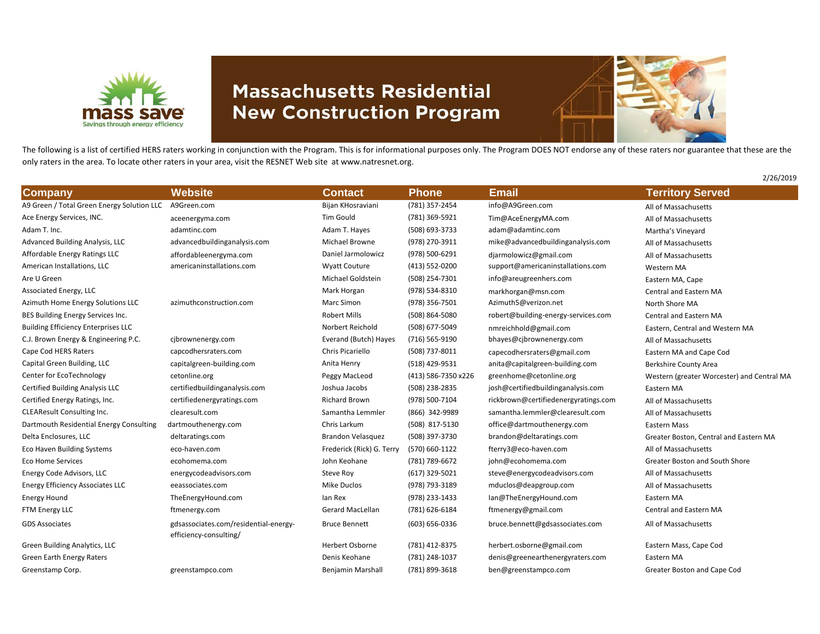

## **Massachusetts Residential New Construction Program**



2/26/2019

The following is a list of certified HERS raters working in conjunction with the Program. This is for informational purposes only. The Program DOES NOT endorse any of these raters nor guarantee that these are the only raters in the area. To locate other raters in your area, visit the RESNET Web site at www.natresnet.org.

| <b>Company</b>                             | <b>Website</b>                                                  | <b>Contact</b>            | <b>Phone</b>        | <b>Email</b>                         | <b>Territory Served</b>                    |
|--------------------------------------------|-----------------------------------------------------------------|---------------------------|---------------------|--------------------------------------|--------------------------------------------|
| A9 Green / Total Green Energy Solution LLC | A9Green.com                                                     | Bijan KHosraviani         | (781) 357-2454      | info@A9Green.com                     | All of Massachusetts                       |
| Ace Energy Services, INC.                  | aceenergyma.com                                                 | Tim Gould                 | (781) 369-5921      | Tim@AceEnergyMA.com                  | All of Massachusetts                       |
| Adam T. Inc.                               | adamtinc.com                                                    | Adam T. Hayes             | (508) 693-3733      | adam@adamtinc.com                    | Martha's Vineyard                          |
| Advanced Building Analysis, LLC            | advancedbuildinganalysis.com                                    | Michael Browne            | (978) 270-3911      | mike@advancedbuildinganalysis.com    | All of Massachusetts                       |
| Affordable Energy Ratings LLC              | affordableenergyma.com                                          | Daniel Jarmolowicz        | (978) 500-6291      | djarmolowicz@gmail.com               | All of Massachusetts                       |
| American Installations, LLC                | americaninstallations.com                                       | <b>Wyatt Couture</b>      | (413) 552-0200      | support@americaninstallations.com    | Western MA                                 |
| Are U Green                                |                                                                 | Michael Goldstein         | (508) 254-7301      | info@areugreenhers.com               | Eastern MA, Cape                           |
| Associated Energy, LLC                     |                                                                 | Mark Horgan               | (978) 534-8310      | markhorgan@msn.com                   | <b>Central and Eastern MA</b>              |
| Azimuth Home Energy Solutions LLC          | azimuthconstruction.com                                         | Marc Simon                | (978) 356-7501      | Azimuth5@verizon.net                 | North Shore MA                             |
| BES Building Energy Services Inc.          |                                                                 | <b>Robert Mills</b>       | (508) 864-5080      | robert@building-energy-services.com  | <b>Central and Eastern MA</b>              |
| <b>Building Efficiency Enterprises LLC</b> |                                                                 | Norbert Reichold          | (508) 677-5049      | nmreichhold@gmail.com                | Eastern, Central and Western MA            |
| C.J. Brown Energy & Engineering P.C.       | cjbrownenergy.com                                               | Everand (Butch) Hayes     | (716) 565-9190      | bhayes@cjbrownenergy.com             | All of Massachusetts                       |
| Cape Cod HERS Raters                       | capcodhersraters.com                                            | Chris Picariello          | (508) 737-8011      | capecodhersraters@gmail.com          | Eastern MA and Cape Cod                    |
| Capital Green Building, LLC                | capitalgreen-building.com                                       | Anita Henry               | (518) 429-9531      | anita@capitalgreen-building.com      | <b>Berkshire County Area</b>               |
| Center for EcoTechnology                   | cetonline.org                                                   | Peggy MacLeod             | (413) 586-7350 x226 | greenhome@cetonline.org              | Western (greater Worcester) and Central MA |
| Certified Building Analysis LLC            | certifiedbuildinganalysis.com                                   | Joshua Jacobs             | (508) 238-2835      | josh@certifiedbuildinganalysis.com   | Eastern MA                                 |
| Certified Energy Ratings, Inc.             | certifiedenergyratings.com                                      | Richard Brown             | (978) 500-7104      | rickbrown@certifiedenergyratings.com | All of Massachusetts                       |
| <b>CLEAResult Consulting Inc.</b>          | clearesult.com                                                  | Samantha Lemmler          | (866) 342-9989      | samantha.lemmler@clearesult.com      | All of Massachusetts                       |
| Dartmouth Residential Energy Consulting    | dartmouthenergy.com                                             | Chris Larkum              | (508) 817-5130      | office@dartmouthenergy.com           | <b>Eastern Mass</b>                        |
| Delta Enclosures, LLC                      | deltaratings.com                                                | <b>Brandon Velasquez</b>  | (508) 397-3730      | brandon@deltaratings.com             | Greater Boston, Central and Eastern MA     |
| <b>Eco Haven Building Systems</b>          | eco-haven.com                                                   | Frederick (Rick) G. Terry | (570) 660-1122      | fterry3@eco-haven.com                | All of Massachusetts                       |
| <b>Eco Home Services</b>                   | ecohomema.com                                                   | John Keohane              | (781) 789-6672      | john@ecohomema.com                   | Greater Boston and South Shore             |
| Energy Code Advisors, LLC                  | energycodeadvisors.com                                          | Steve Roy                 | (617) 329-5021      | steve@energycodeadvisors.com         | All of Massachusetts                       |
| <b>Energy Efficiency Associates LLC</b>    | eeassociates.com                                                | Mike Duclos               | (978) 793-3189      | mduclos@deapgroup.com                | All of Massachusetts                       |
| <b>Energy Hound</b>                        | TheEnergyHound.com                                              | lan Rex                   | (978) 233-1433      | lan@TheEnergyHound.com               | Eastern MA                                 |
| FTM Energy LLC                             | ftmenergy.com                                                   | Gerard MacLellan          | (781) 626-6184      | ftmenergy@gmail.com                  | Central and Eastern MA                     |
| <b>GDS Associates</b>                      | gdsassociates.com/residential-energy-<br>efficiency-consulting/ | <b>Bruce Bennett</b>      | (603) 656-0336      | bruce.bennett@gdsassociates.com      | All of Massachusetts                       |
| Green Building Analytics, LLC              |                                                                 | Herbert Osborne           | (781) 412-8375      | herbert.osborne@gmail.com            | Eastern Mass, Cape Cod                     |
| Green Earth Energy Raters                  |                                                                 | Denis Keohane             | (781) 248-1037      | denis@greenearthenergyraters.com     | Eastern MA                                 |
| Greenstamp Corp.                           | greenstampco.com                                                | <b>Benjamin Marshall</b>  | (781) 899-3618      | ben@greenstampco.com                 | Greater Boston and Cape Cod                |